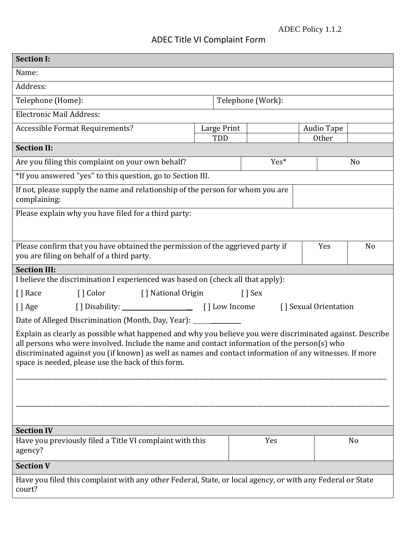## ADEC Title VI Complaint Form

| <b>Section I:</b>                                                                                                                                                                                                                                                                                                                                                          |                   |     |                   |    |  |
|----------------------------------------------------------------------------------------------------------------------------------------------------------------------------------------------------------------------------------------------------------------------------------------------------------------------------------------------------------------------------|-------------------|-----|-------------------|----|--|
| Name:                                                                                                                                                                                                                                                                                                                                                                      |                   |     |                   |    |  |
| Address:                                                                                                                                                                                                                                                                                                                                                                   |                   |     |                   |    |  |
| Telephone (Home):                                                                                                                                                                                                                                                                                                                                                          | Telephone (Work): |     |                   |    |  |
| <b>Electronic Mail Address:</b>                                                                                                                                                                                                                                                                                                                                            |                   |     |                   |    |  |
| <b>Accessible Format Requirements?</b>                                                                                                                                                                                                                                                                                                                                     | Large Print       |     | <b>Audio Tape</b> |    |  |
| TDD<br><b>Section II:</b>                                                                                                                                                                                                                                                                                                                                                  |                   |     | <b>Other</b>      |    |  |
|                                                                                                                                                                                                                                                                                                                                                                            |                   |     |                   |    |  |
| Are you filing this complaint on your own behalf?<br>Yes*                                                                                                                                                                                                                                                                                                                  |                   | No  |                   |    |  |
| *If you answered "yes" to this question, go to Section III.                                                                                                                                                                                                                                                                                                                |                   |     |                   |    |  |
| If not, please supply the name and relationship of the person for whom you are<br>complaining:                                                                                                                                                                                                                                                                             |                   |     |                   |    |  |
| Please explain why you have filed for a third party:                                                                                                                                                                                                                                                                                                                       |                   |     |                   |    |  |
|                                                                                                                                                                                                                                                                                                                                                                            |                   |     |                   |    |  |
| Please confirm that you have obtained the permission of the aggrieved party if<br>Yes                                                                                                                                                                                                                                                                                      |                   |     | N <sub>o</sub>    |    |  |
| you are filing on behalf of a third party.                                                                                                                                                                                                                                                                                                                                 |                   |     |                   |    |  |
| <b>Section III:</b>                                                                                                                                                                                                                                                                                                                                                        |                   |     |                   |    |  |
| I believe the discrimination I experienced was based on (check all that apply):                                                                                                                                                                                                                                                                                            |                   |     |                   |    |  |
| [] Color [] National Origin<br>[] Race<br>$\lceil$ Sex                                                                                                                                                                                                                                                                                                                     |                   |     |                   |    |  |
| [] Age<br>[] Sexual Orientation                                                                                                                                                                                                                                                                                                                                            |                   |     |                   |    |  |
| Date of Alleged Discrimination (Month, Day, Year): ______                                                                                                                                                                                                                                                                                                                  |                   |     |                   |    |  |
| Explain as clearly as possible what happened and why you believe you were discriminated against. Describe<br>all persons who were involved. Include the name and contact information of the person(s) who<br>discriminated against you (if known) as well as names and contact information of any witnesses. If more<br>space is needed, please use the back of this form. |                   |     |                   |    |  |
|                                                                                                                                                                                                                                                                                                                                                                            |                   |     |                   |    |  |
|                                                                                                                                                                                                                                                                                                                                                                            |                   |     |                   |    |  |
| <b>Section IV</b>                                                                                                                                                                                                                                                                                                                                                          |                   |     |                   |    |  |
| Have you previously filed a Title VI complaint with this<br>agency?                                                                                                                                                                                                                                                                                                        |                   | Yes |                   | No |  |
| <b>Section V</b>                                                                                                                                                                                                                                                                                                                                                           |                   |     |                   |    |  |
| Have you filed this complaint with any other Federal, State, or local agency, or with any Federal or State<br>court?                                                                                                                                                                                                                                                       |                   |     |                   |    |  |